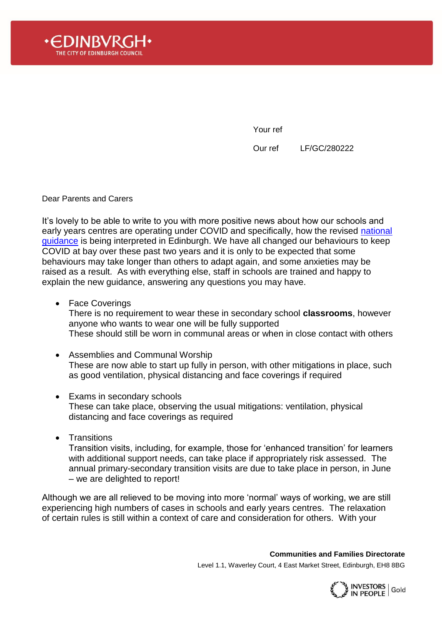

Your ref

Our ref LF/GC/280222

Dear Parents and Carers

It's lovely to be able to write to you with more positive news about how our schools and early years centres are operating under COVID and specifically, how the revised national [guidance](https://www.gov.scot/publications/coronavirus-covid-19-guidance-on-reducing-the-risks-in-schools/) is being interpreted in Edinburgh. We have all changed our behaviours to keep COVID at bay over these past two years and it is only to be expected that some behaviours may take longer than others to adapt again, and some anxieties may be raised as a result. As with everything else, staff in schools are trained and happy to explain the new guidance, answering any questions you may have.

• Face Coverings

There is no requirement to wear these in secondary school **classrooms**, however anyone who wants to wear one will be fully supported These should still be worn in communal areas or when in close contact with others

- Assemblies and Communal Worship These are now able to start up fully in person, with other mitigations in place, such as good ventilation, physical distancing and face coverings if required
- Exams in secondary schools These can take place, observing the usual mitigations: ventilation, physical distancing and face coverings as required
- Transitions

Transition visits, including, for example, those for 'enhanced transition' for learners with additional support needs, can take place if appropriately risk assessed. The annual primary-secondary transition visits are due to take place in person, in June – we are delighted to report!

Although we are all relieved to be moving into more 'normal' ways of working, we are still experiencing high numbers of cases in schools and early years centres. The relaxation of certain rules is still within a context of care and consideration for others. With your

**Communities and Families Directorate**

Level 1.1, Waverley Court, 4 East Market Street, Edinburgh, EH8 8BG